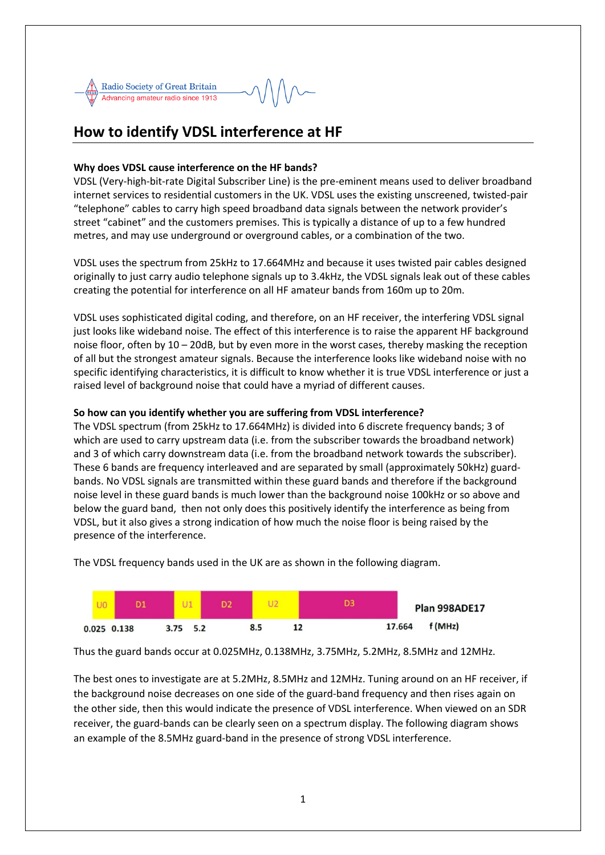

# **How to identify VDSL interference at HF**

## **Why does VDSL cause interference on the HF bands?**

VDSL (Very-high-bit-rate Digital Subscriber Line) is the pre-eminent means used to deliver broadband internet services to residential customers in the UK. VDSL uses the existing unscreened, twisted-pair "telephone" cables to carry high speed broadband data signals between the network provider's street "cabinet" and the customers premises. This is typically a distance of up to a few hundred metres, and may use underground or overground cables, or a combination of the two.

VDSL uses the spectrum from 25kHz to 17.664MHz and because it uses twisted pair cables designed originally to just carry audio telephone signals up to 3.4kHz, the VDSL signals leak out of these cables creating the potential for interference on all HF amateur bands from 160m up to 20m.

VDSL uses sophisticated digital coding, and therefore, on an HF receiver, the interfering VDSL signal just looks like wideband noise. The effect of this interference is to raise the apparent HF background noise floor, often by 10 – 20dB, but by even more in the worst cases, thereby masking the reception of all but the strongest amateur signals. Because the interference looks like wideband noise with no specific identifying characteristics, it is difficult to know whether it is true VDSL interference or just a raised level of background noise that could have a myriad of different causes.

## **So how can you identify whether you are suffering from VDSL interference?**

The VDSL spectrum (from 25kHz to 17.664MHz) is divided into 6 discrete frequency bands; 3 of which are used to carry upstream data (i.e. from the subscriber towards the broadband network) and 3 of which carry downstream data (i.e. from the broadband network towards the subscriber). These 6 bands are frequency interleaved and are separated by small (approximately 50kHz) guardbands. No VDSL signals are transmitted within these guard bands and therefore if the background noise level in these guard bands is much lower than the background noise 100kHz or so above and below the guard band, then not only does this positively identify the interference as being from VDSL, but it also gives a strong indication of how much the noise floor is being raised by the presence of the interference.



The VDSL frequency bands used in the UK are as shown in the following diagram.

Thus the guard bands occur at 0.025MHz, 0.138MHz, 3.75MHz, 5.2MHz, 8.5MHz and 12MHz.

The best ones to investigate are at 5.2MHz, 8.5MHz and 12MHz. Tuning around on an HF receiver, if the background noise decreases on one side of the guard-band frequency and then rises again on the other side, then this would indicate the presence of VDSL interference. When viewed on an SDR receiver, the guard-bands can be clearly seen on a spectrum display. The following diagram shows an example of the 8.5MHz guard-band in the presence of strong VDSL interference.